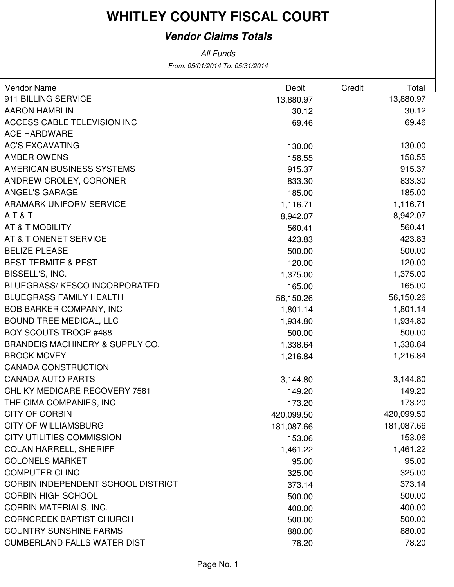### **Vendor Claims Totals**

From: 05/01/2014 To: 05/31/2014 All Funds

| Vendor Name                                | Debit      | Credit | Total      |
|--------------------------------------------|------------|--------|------------|
| 911 BILLING SERVICE                        | 13,880.97  |        | 13,880.97  |
| <b>AARON HAMBLIN</b>                       | 30.12      |        | 30.12      |
| ACCESS CABLE TELEVISION INC                | 69.46      |        | 69.46      |
| <b>ACE HARDWARE</b>                        |            |        |            |
| <b>AC'S EXCAVATING</b>                     | 130.00     |        | 130.00     |
| <b>AMBER OWENS</b>                         | 158.55     |        | 158.55     |
| AMERICAN BUSINESS SYSTEMS                  | 915.37     |        | 915.37     |
| ANDREW CROLEY, CORONER                     | 833.30     |        | 833.30     |
| <b>ANGEL'S GARAGE</b>                      | 185.00     |        | 185.00     |
| <b>ARAMARK UNIFORM SERVICE</b>             | 1,116.71   |        | 1,116.71   |
| AT&T                                       | 8,942.07   |        | 8,942.07   |
| AT & T MOBILITY                            | 560.41     |        | 560.41     |
| AT & T ONENET SERVICE                      | 423.83     |        | 423.83     |
| <b>BELIZE PLEASE</b>                       | 500.00     |        | 500.00     |
| <b>BEST TERMITE &amp; PEST</b>             | 120.00     |        | 120.00     |
| BISSELL'S, INC.                            | 1,375.00   |        | 1,375.00   |
| <b>BLUEGRASS/ KESCO INCORPORATED</b>       | 165.00     |        | 165.00     |
| <b>BLUEGRASS FAMILY HEALTH</b>             | 56,150.26  |        | 56,150.26  |
| <b>BOB BARKER COMPANY, INC</b>             | 1,801.14   |        | 1,801.14   |
| <b>BOUND TREE MEDICAL, LLC</b>             | 1,934.80   |        | 1,934.80   |
| <b>BOY SCOUTS TROOP #488</b>               | 500.00     |        | 500.00     |
| <b>BRANDEIS MACHINERY &amp; SUPPLY CO.</b> | 1,338.64   |        | 1,338.64   |
| <b>BROCK MCVEY</b>                         | 1,216.84   |        | 1,216.84   |
| <b>CANADA CONSTRUCTION</b>                 |            |        |            |
| <b>CANADA AUTO PARTS</b>                   | 3,144.80   |        | 3,144.80   |
| CHL KY MEDICARE RECOVERY 7581              | 149.20     |        | 149.20     |
| THE CIMA COMPANIES, INC                    | 173.20     |        | 173.20     |
| <b>CITY OF CORBIN</b>                      | 420,099.50 |        | 420,099.50 |
| <b>CITY OF WILLIAMSBURG</b>                | 181,087.66 |        | 181,087.66 |
| <b>CITY UTILITIES COMMISSION</b>           | 153.06     |        | 153.06     |
| <b>COLAN HARRELL, SHERIFF</b>              | 1,461.22   |        | 1,461.22   |
| <b>COLONELS MARKET</b>                     | 95.00      |        | 95.00      |
| <b>COMPUTER CLINC</b>                      | 325.00     |        | 325.00     |
| CORBIN INDEPENDENT SCHOOL DISTRICT         | 373.14     |        | 373.14     |
| <b>CORBIN HIGH SCHOOL</b>                  | 500.00     |        | 500.00     |
| <b>CORBIN MATERIALS, INC.</b>              | 400.00     |        | 400.00     |
| <b>CORNCREEK BAPTIST CHURCH</b>            | 500.00     |        | 500.00     |
| <b>COUNTRY SUNSHINE FARMS</b>              | 880.00     |        | 880.00     |
| <b>CUMBERLAND FALLS WATER DIST</b>         | 78.20      |        | 78.20      |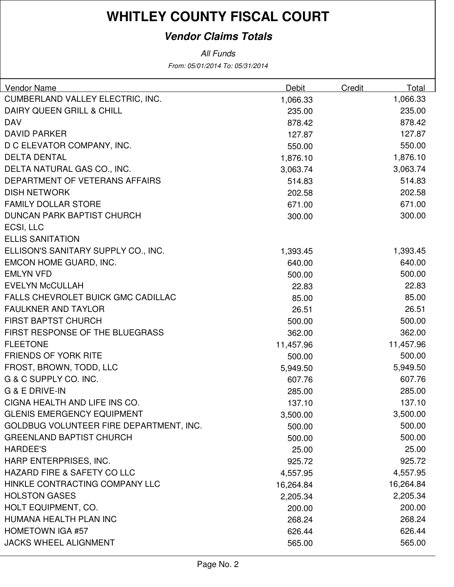### **Vendor Claims Totals**

All Funds

From: 05/01/2014 To: 05/31/2014

| <b>Vendor Name</b>                        | Debit     | Credit | Total     |
|-------------------------------------------|-----------|--------|-----------|
| CUMBERLAND VALLEY ELECTRIC, INC.          | 1,066.33  |        | 1,066.33  |
| <b>DAIRY QUEEN GRILL &amp; CHILL</b>      | 235.00    |        | 235.00    |
| <b>DAV</b>                                | 878.42    |        | 878.42    |
| <b>DAVID PARKER</b>                       | 127.87    |        | 127.87    |
| D C ELEVATOR COMPANY, INC.                | 550.00    |        | 550.00    |
| <b>DELTA DENTAL</b>                       | 1,876.10  |        | 1,876.10  |
| DELTA NATURAL GAS CO., INC.               | 3,063.74  |        | 3,063.74  |
| DEPARTMENT OF VETERANS AFFAIRS            | 514.83    |        | 514.83    |
| <b>DISH NETWORK</b>                       | 202.58    |        | 202.58    |
| <b>FAMILY DOLLAR STORE</b>                | 671.00    |        | 671.00    |
| <b>DUNCAN PARK BAPTIST CHURCH</b>         | 300.00    |        | 300.00    |
| ECSI, LLC                                 |           |        |           |
| <b>ELLIS SANITATION</b>                   |           |        |           |
| ELLISON'S SANITARY SUPPLY CO., INC.       | 1,393.45  |        | 1,393.45  |
| <b>EMCON HOME GUARD, INC.</b>             | 640.00    |        | 640.00    |
| <b>EMLYN VFD</b>                          | 500.00    |        | 500.00    |
| <b>EVELYN McCULLAH</b>                    | 22.83     |        | 22.83     |
| <b>FALLS CHEVROLET BUICK GMC CADILLAC</b> | 85.00     |        | 85.00     |
| <b>FAULKNER AND TAYLOR</b>                | 26.51     |        | 26.51     |
| <b>FIRST BAPTST CHURCH</b>                | 500.00    |        | 500.00    |
| FIRST RESPONSE OF THE BLUEGRASS           | 362.00    |        | 362.00    |
| <b>FLEETONE</b>                           | 11,457.96 |        | 11,457.96 |
| <b>FRIENDS OF YORK RITE</b>               | 500.00    |        | 500.00    |
| FROST, BROWN, TODD, LLC                   | 5,949.50  |        | 5,949.50  |
| G & C SUPPLY CO. INC.                     | 607.76    |        | 607.76    |
| G & E DRIVE-IN                            | 285.00    |        | 285.00    |
| CIGNA HEALTH AND LIFE INS CO.             | 137.10    |        | 137.10    |
| <b>GLENIS EMERGENCY EQUIPMENT</b>         | 3,500.00  |        | 3,500.00  |
| GOLDBUG VOLUNTEER FIRE DEPARTMENT, INC.   | 500.00    |        | 500.00    |
| <b>GREENLAND BAPTIST CHURCH</b>           | 500.00    |        | 500.00    |
| <b>HARDEE'S</b>                           | 25.00     |        | 25.00     |
| HARP ENTERPRISES, INC.                    | 925.72    |        | 925.72    |
| <b>HAZARD FIRE &amp; SAFETY CO LLC</b>    | 4,557.95  |        | 4,557.95  |
| HINKLE CONTRACTING COMPANY LLC            | 16,264.84 |        | 16,264.84 |
| <b>HOLSTON GASES</b>                      | 2,205.34  |        | 2,205.34  |
| HOLT EQUIPMENT, CO.                       | 200.00    |        | 200.00    |
| HUMANA HEALTH PLAN INC                    | 268.24    |        | 268.24    |
| <b>HOMETOWN IGA #57</b>                   | 626.44    |        | 626.44    |
| <b>JACKS WHEEL ALIGNMENT</b>              | 565.00    |        | 565.00    |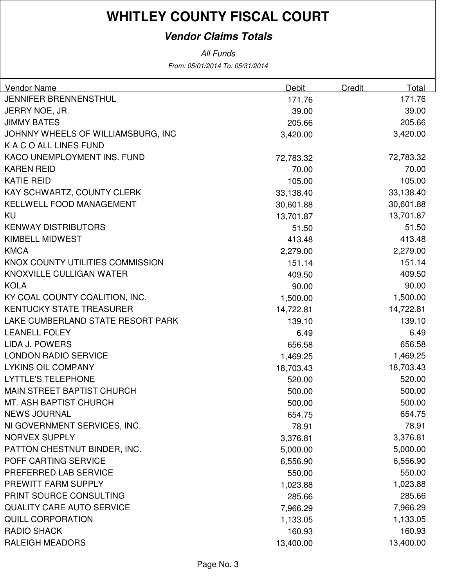### **Vendor Claims Totals**

From: 05/01/2014 To: 05/31/2014 All Funds

| Vendor Name                        | Debit     | Credit    | Total    |
|------------------------------------|-----------|-----------|----------|
| JENNIFER BRENNENSTHUL              | 171.76    |           | 171.76   |
| JERRY NOE, JR.                     | 39.00     |           | 39.00    |
| <b>JIMMY BATES</b>                 | 205.66    |           | 205.66   |
| JOHNNY WHEELS OF WILLIAMSBURG, INC | 3,420.00  |           | 3,420.00 |
| K A C O ALL LINES FUND             |           |           |          |
| KACO UNEMPLOYMENT INS. FUND        | 72,783.32 | 72,783.32 |          |
| <b>KAREN REID</b>                  | 70.00     |           | 70.00    |
| <b>KATIE REID</b>                  | 105.00    |           | 105.00   |
| KAY SCHWARTZ, COUNTY CLERK         | 33,138.40 | 33,138.40 |          |
| KELLWELL FOOD MANAGEMENT           | 30,601.88 | 30,601.88 |          |
| KU                                 | 13,701.87 | 13,701.87 |          |
| <b>KENWAY DISTRIBUTORS</b>         | 51.50     |           | 51.50    |
| <b>KIMBELL MIDWEST</b>             | 413.48    |           | 413.48   |
| <b>KMCA</b>                        | 2,279.00  |           | 2,279.00 |
| KNOX COUNTY UTILITIES COMMISSION   | 151.14    |           | 151.14   |
| KNOXVILLE CULLIGAN WATER           | 409.50    |           | 409.50   |
| <b>KOLA</b>                        | 90.00     |           | 90.00    |
| KY COAL COUNTY COALITION, INC.     | 1,500.00  |           | 1,500.00 |
| <b>KENTUCKY STATE TREASURER</b>    | 14,722.81 | 14,722.81 |          |
| LAKE CUMBERLAND STATE RESORT PARK  | 139.10    |           | 139.10   |
| <b>LEANELL FOLEY</b>               | 6.49      |           | 6.49     |
| <b>LIDA J. POWERS</b>              | 656.58    |           | 656.58   |
| <b>LONDON RADIO SERVICE</b>        | 1,469.25  |           | 1,469.25 |
| <b>LYKINS OIL COMPANY</b>          | 18,703.43 | 18,703.43 |          |
| <b>LYTTLE'S TELEPHONE</b>          | 520.00    |           | 520.00   |
| <b>MAIN STREET BAPTIST CHURCH</b>  | 500.00    |           | 500.00   |
| MT. ASH BAPTIST CHURCH             | 500.00    |           | 500.00   |
| <b>NEWS JOURNAL</b>                | 654.75    |           | 654.75   |
| NI GOVERNMENT SERVICES, INC.       | 78.91     |           | 78.91    |
| <b>NORVEX SUPPLY</b>               | 3,376.81  |           | 3,376.81 |
| PATTON CHESTNUT BINDER, INC.       | 5,000.00  |           | 5,000.00 |
| POFF CARTING SERVICE               | 6,556.90  |           | 6,556.90 |
| PREFERRED LAB SERVICE              | 550.00    |           | 550.00   |
| PREWITT FARM SUPPLY                | 1,023.88  |           | 1,023.88 |
| PRINT SOURCE CONSULTING            | 285.66    |           | 285.66   |
| <b>QUALITY CARE AUTO SERVICE</b>   | 7,966.29  |           | 7,966.29 |
| <b>QUILL CORPORATION</b>           | 1,133.05  |           | 1,133.05 |
| <b>RADIO SHACK</b>                 | 160.93    |           | 160.93   |
| <b>RALEIGH MEADORS</b>             | 13,400.00 | 13,400.00 |          |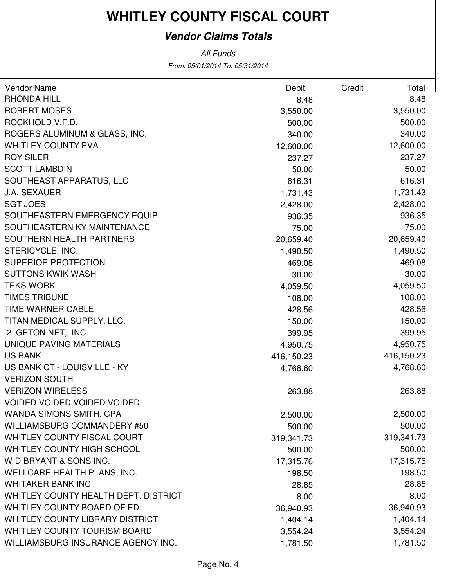### **Vendor Claims Totals**

From: 05/01/2014 To: 05/31/2014 All Funds

| <b>Vendor Name</b>                     | Debit      | Credit | Total      |
|----------------------------------------|------------|--------|------------|
| <b>RHONDA HILL</b>                     | 8.48       |        | 8.48       |
| <b>ROBERT MOSES</b>                    | 3,550.00   |        | 3,550.00   |
| ROCKHOLD V.F.D.                        | 500.00     |        | 500.00     |
| ROGERS ALUMINUM & GLASS, INC.          | 340.00     |        | 340.00     |
| <b>WHITLEY COUNTY PVA</b>              | 12,600.00  |        | 12,600.00  |
| <b>ROY SILER</b>                       | 237.27     |        | 237.27     |
| <b>SCOTT LAMBDIN</b>                   | 50.00      |        | 50.00      |
| SOUTHEAST APPARATUS, LLC               | 616.31     |        | 616.31     |
| <b>J.A. SEXAUER</b>                    | 1,731.43   |        | 1,731.43   |
| <b>SGT JOES</b>                        | 2,428.00   |        | 2,428.00   |
| SOUTHEASTERN EMERGENCY EQUIP.          | 936.35     |        | 936.35     |
| SOUTHEASTERN KY MAINTENANCE            | 75.00      |        | 75.00      |
| SOUTHERN HEALTH PARTNERS               | 20,659.40  |        | 20,659.40  |
| STERICYCLE, INC.                       | 1,490.50   |        | 1,490.50   |
| <b>SUPERIOR PROTECTION</b>             | 469.08     |        | 469.08     |
| <b>SUTTONS KWIK WASH</b>               | 30.00      |        | 30.00      |
| <b>TEKS WORK</b>                       | 4,059.50   |        | 4,059.50   |
| <b>TIMES TRIBUNE</b>                   | 108.00     |        | 108.00     |
| TIME WARNER CABLE                      | 428.56     |        | 428.56     |
| TITAN MEDICAL SUPPLY, LLC.             | 150.00     |        | 150.00     |
| 2 GETON NET, INC.                      | 399.95     |        | 399.95     |
| UNIQUE PAVING MATERIALS                | 4,950.75   |        | 4,950.75   |
| <b>US BANK</b>                         | 416,150.23 |        | 416,150.23 |
| US BANK CT - LOUISVILLE - KY           | 4,768.60   |        | 4,768.60   |
| <b>VERIZON SOUTH</b>                   |            |        |            |
| <b>VERIZON WIRELESS</b>                | 263.88     |        | 263.88     |
| <b>VOIDED VOIDED VOIDED VOIDED</b>     |            |        |            |
| WANDA SIMONS SMITH, CPA                | 2,500.00   |        | 2,500.00   |
| WILLIAMSBURG COMMANDERY #50            | 500.00     |        | 500.00     |
| WHITLEY COUNTY FISCAL COURT            | 319,341.73 |        | 319,341.73 |
| WHITLEY COUNTY HIGH SCHOOL             | 500.00     |        | 500.00     |
| W D BRYANT & SONS INC.                 | 17,315.76  |        | 17,315.76  |
| WELLCARE HEALTH PLANS, INC.            | 198.50     |        | 198.50     |
| <b>WHITAKER BANK INC</b>               | 28.85      |        | 28.85      |
| WHITLEY COUNTY HEALTH DEPT. DISTRICT   | 8.00       |        | 8.00       |
| WHITLEY COUNTY BOARD OF ED.            | 36,940.93  |        | 36,940.93  |
| <b>WHITLEY COUNTY LIBRARY DISTRICT</b> | 1,404.14   |        | 1,404.14   |
| <b>WHITLEY COUNTY TOURISM BOARD</b>    | 3,554.24   |        | 3,554.24   |
| WILLIAMSBURG INSURANCE AGENCY INC.     | 1,781.50   |        | 1,781.50   |